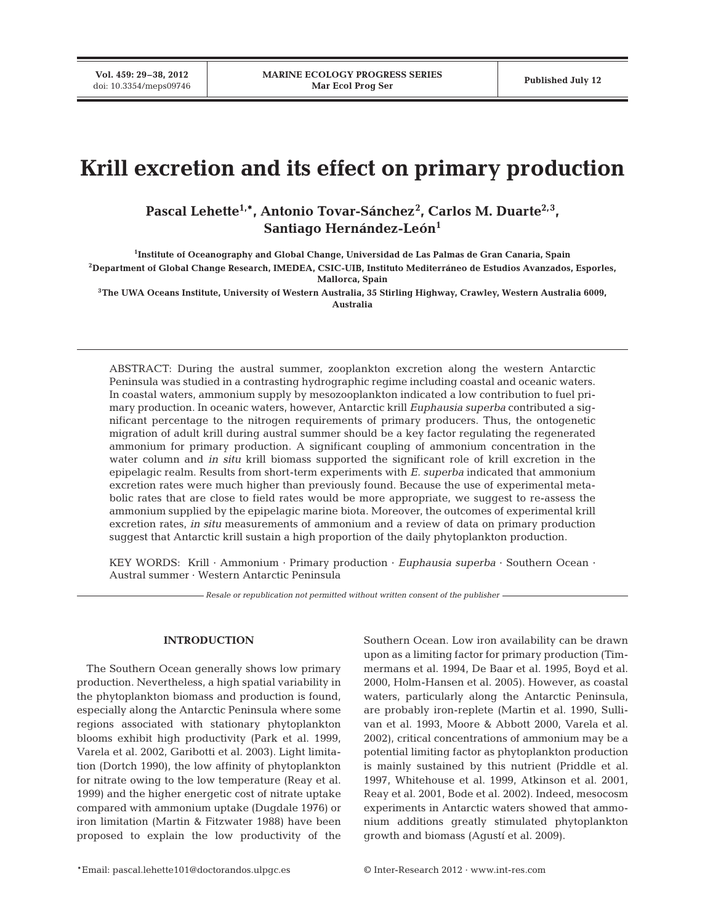**Vol. 459: 29–38, 2012**

# **Krill excretion and its effect on primary production**

Pascal Lehette<sup>1,\*</sup>, Antonio Tovar-Sánchez<sup>2</sup>, Carlos M. Duarte<sup>2,3</sup>, Santiago Hernández-León<sup>1</sup>

**1 Institute of Oceanography and Global Change, Universidad de Las Palmas de Gran Canaria, Spain 2Department of Global Change Research, IMEDEA, CSIC-UIB, Instituto Mediterráneo de Estudios Avanzados, Esporles, Mallorca, Spain**

**3The UWA Oceans Institute, University of Western Australia, 35 Stirling Highway, Crawley, Western Australia 6009, Australia**

ABSTRACT: During the austral summer, zooplankton excretion along the western Antarctic Peninsula was studied in a contrasting hydrographic regime including coastal and oceanic waters. In coastal waters, ammonium supply by mesozooplankton indicated a low contribution to fuel primary production. In oceanic waters, however, Antarctic krill *Euphausia superba* contributed a significant percentage to the nitrogen requirements of primary producers. Thus, the ontogenetic migration of adult krill during austral summer should be a key factor regulating the regenerated ammonium for primary production. A significant coupling of ammonium concentration in the water column and *in situ* krill biomass supported the significant role of krill excretion in the epipelagic realm. Results from short-term experiments with *E. superba* indicated that ammonium excretion rates were much higher than previously found. Because the use of experimental metabolic rates that are close to field rates would be more appropriate, we suggest to re-assess the ammonium supplied by the epipelagic marine biota. Moreover, the outcomes of experimental krill excretion rates, *in situ* measurements of ammonium and a review of data on primary production suggest that Antarctic krill sustain a high proportion of the daily phytoplankton production.

KEY WORDS: Krill · Ammonium · Primary production · *Euphausia superba* · Southern Ocean · Austral summer · Western Antarctic Peninsula

*Resale or republication not permitted without written consent of the publisher*

## **INTRODUCTION**

The Southern Ocean generally shows low primary production. Nevertheless, a high spatial variability in the phytoplankton biomass and production is found, especially along the Antarctic Peninsula where some regions associated with stationary phytoplankton blooms exhibit high productivity (Park et al. 1999, Varela et al. 2002, Garibotti et al. 2003). Light limitation (Dortch 1990), the low affinity of phytoplankton for nitrate owing to the low temperature (Reay et al. 1999) and the higher energetic cost of nitrate uptake compared with ammonium uptake (Dugdale 1976) or iron limitation (Martin & Fitzwater 1988) have been proposed to explain the low productivity of the Southern Ocean. Low iron availability can be drawn upon as a limiting factor for primary production (Timmermans et al. 1994, De Baar et al. 1995, Boyd et al. 2000, Holm-Hansen et al. 2005). However, as coastal waters, particularly along the Antarctic Peninsula, are probably iron-replete (Martin et al. 1990, Sullivan et al. 1993, Moore & Abbott 2000, Varela et al. 2002), critical concentrations of ammonium may be a potential limiting factor as phytoplankton production is mainly sustained by this nutrient (Priddle et al. 1997, Whitehouse et al. 1999, Atkinson et al. 2001, Reay et al. 2001, Bode et al. 2002). Indeed, mesocosm experiments in Antarctic waters showed that ammonium additions greatly stimulated phytoplankton growth and biomass (Agustí et al. 2009).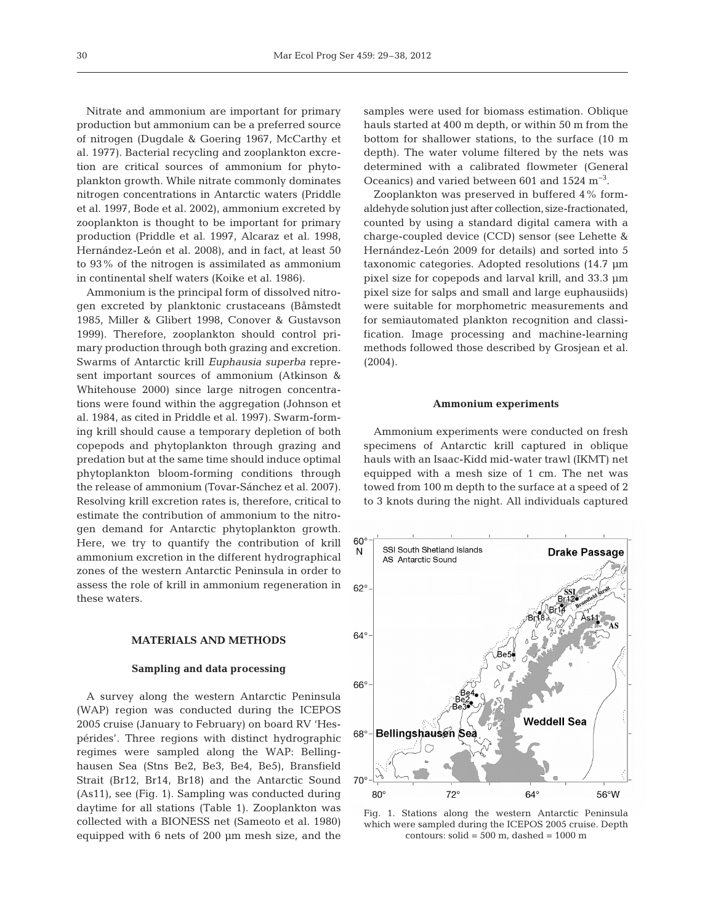Nitrate and ammonium are important for primary production but ammonium can be a preferred source of nitrogen (Dugdale & Goering 1967, McCarthy et al. 1977). Bacterial recycling and zooplankton excretion are critical sources of ammonium for phytoplankton growth. While nitrate commonly dominates nitrogen concentrations in Antarctic waters (Priddle et al. 1997, Bode et al. 2002), ammonium excreted by zooplankton is thought to be important for primary production (Priddle et al. 1997, Alcaraz et al. 1998, Hernández-León et al. 2008), and in fact, at least 50 to 93% of the nitrogen is assimilated as ammonium in continental shelf waters (Koike et al. 1986).

Ammonium is the principal form of dissolved nitrogen excreted by planktonic crustaceans (Båmstedt 1985, Miller & Glibert 1998, Conover & Gustavson 1999). Therefore, zooplankton should control primary production through both grazing and excretion. Swarms of Antarctic krill *Euphausia superba* represent important sources of ammonium (Atkinson & Whitehouse 2000) since large nitrogen concentrations were found within the aggregation (Johnson et al. 1984, as cited in Priddle et al. 1997). Swarm-forming krill should cause a temporary depletion of both copepods and phytoplankton through grazing and predation but at the same time should induce optimal phytoplankton bloom-forming conditions through the release of ammonium (Tovar-Sánchez et al. 2007). Resolving krill excretion rates is, therefore, critical to estimate the contribution of ammonium to the nitrogen demand for Antarctic phytoplankton growth. Here, we try to quantify the contribution of krill ammonium excretion in the different hydrographical zones of the western Antarctic Peninsula in order to assess the role of krill in ammonium regeneration in these waters.

#### **MATERIALS AND METHODS**

#### **Sampling and data processing**

A survey along the western Antarctic Peninsula (WAP) region was conducted during the ICEPOS 2005 cruise (January to February) on board RV 'Hespérides'. Three regions with distinct hydrographic regimes were sampled along the WAP: Bellinghausen Sea (Stns Be2, Be3, Be4, Be5), Bransfield Strait (Br12, Br14, Br18) and the Antarctic Sound (As11), see (Fig. 1). Sampling was conducted during daytime for all stations (Table 1). Zooplankton was collected with a BIONESS net (Sameoto et al. 1980) equipped with 6 nets of 200 µm mesh size, and the

samples were used for biomass estimation. Oblique hauls started at 400 m depth, or within 50 m from the bottom for shallower stations, to the surface (10 m depth). The water volume filtered by the nets was determined with a calibrated flowmeter (General Oceanics) and varied between 601 and 1524 m−3.

Zooplankton was preserved in buffered 4% formaldehyde solution just after collection, size-fractionated, counted by using a standard digital camera with a charge-coupled device (CCD) sensor (see Lehette & Hernández-León 2009 for details) and sorted into 5 taxonomic categories. Adopted resolutions (14.7 µm pixel size for copepods and larval krill, and 33.3 µm pixel size for salps and small and large euphausiids) were suitable for morphometric measurements and for semiautomated plankton recognition and classification. Image processing and machine-learning methods followed those described by Grosjean et al. (2004).

#### **Ammonium experiments**

Ammonium experiments were conducted on fresh specimens of Antarctic krill captured in oblique hauls with an Isaac-Kidd mid-water trawl (IKMT) net equipped with a mesh size of 1 cm. The net was towed from 100 m depth to the surface at a speed of 2 to 3 knots during the night. All individuals captured



Fig. 1. Stations along the western Antarctic Peninsula which were sampled during the ICEPOS 2005 cruise. Depth contours:  $\text{solid} = 500 \text{ m}$ , dashed = 1000 m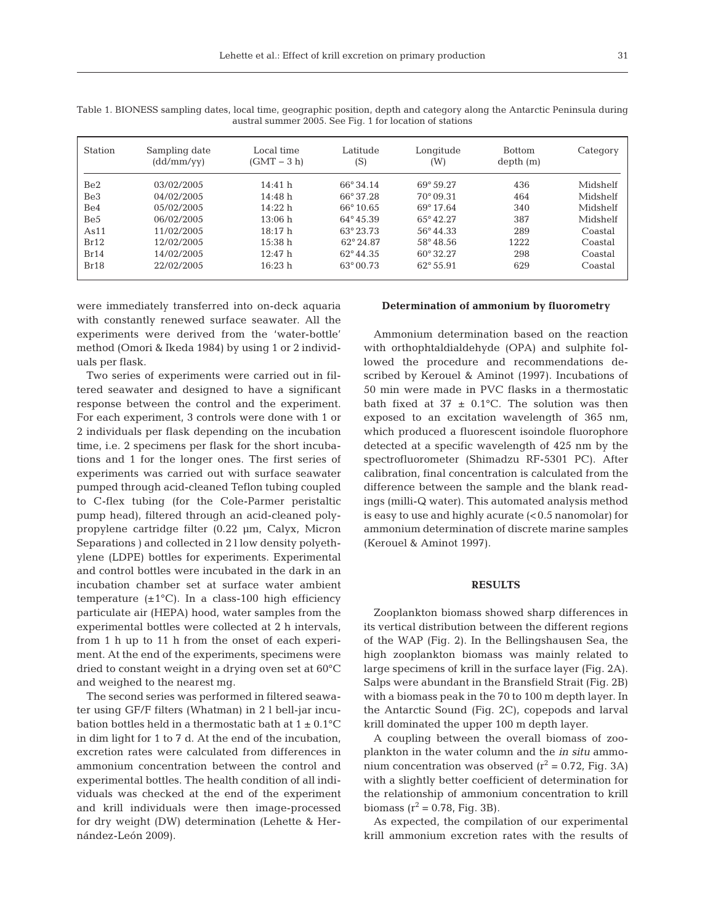| Station         | Sampling date<br>(dd/mm/yy) | Local time<br>$(GMT - 3 h)$ | Latitude<br>(S)    | Longitude<br>(W)   | <b>Bottom</b><br>depth(m) | Category |
|-----------------|-----------------------------|-----------------------------|--------------------|--------------------|---------------------------|----------|
| Be <sub>2</sub> | 03/02/2005                  | 14:41 h                     | $66^{\circ}34.14$  | $69^{\circ}59.27$  | 436                       | Midshelf |
| Be3             | 04/02/2005                  | 14:48h                      | 66°37.28           | $70^{\circ}09.31$  | 464                       | Midshelf |
| Be4             | 05/02/2005                  | 14:22 h                     | $66^{\circ} 10.65$ | $69^{\circ}$ 17.64 | 340                       | Midshelf |
| Be5             | 06/02/2005                  | 13:06 h                     | $64^{\circ}45.39$  | $65^{\circ}42.27$  | 387                       | Midshelf |
| As11            | 11/02/2005                  | 18:17 h                     | 63° 23.73          | $56^{\circ}44.33$  | 289                       | Coastal  |
| Br12            | 12/02/2005                  | 15:38 h                     | $62^{\circ}24.87$  | $58^{\circ}48.56$  | 1222                      | Coastal  |
| Br14            | 14/02/2005                  | 12:47h                      | $62^{\circ}44.35$  | $60^{\circ}32.27$  | 298                       | Coastal  |
| Br18            | 22/02/2005                  | 16:23 h                     | $63^{\circ}00.73$  | $62^{\circ}55.91$  | 629                       | Coastal  |

Table 1. BIONESS sampling dates, local time, geographic position, depth and category along the Antarctic Peninsula during austral summer 2005. See Fig. 1 for location of stations

were immediately transferred into on-deck aquaria with constantly renewed surface seawater. All the experiments were derived from the 'water-bottle' method (Omori & Ikeda 1984) by using 1 or 2 individuals per flask.

Two series of experiments were carried out in filtered seawater and designed to have a significant response between the control and the experiment. For each experiment, 3 controls were done with 1 or 2 individuals per flask depending on the incubation time, i.e. 2 specimens per flask for the short incubations and 1 for the longer ones. The first series of experiments was carried out with surface seawater pumped through acid-cleaned Teflon tubing coupled to C-flex tubing (for the Cole-Parmer peristaltic pump head), filtered through an acid-cleaned polypropylene cartridge filter (0.22 µm, Calyx, Micron Separations ) and collected in 2 l low density polyethylene (LDPE) bottles for experiments. Experimental and control bottles were incubated in the dark in an incubation chamber set at surface water ambient temperature  $(\pm 1^{\circ}C)$ . In a class-100 high efficiency particulate air (HEPA) hood, water samples from the experimental bottles were collected at 2 h intervals, from 1 h up to 11 h from the onset of each experiment. At the end of the experiments, specimens were dried to constant weight in a drying oven set at 60°C and weighed to the nearest mg.

The second series was performed in filtered seawater using GF/F filters (Whatman) in 2 l bell-jar incubation bottles held in a thermostatic bath at  $1 \pm 0.1$ °C in dim light for 1 to 7 d. At the end of the incubation, excretion rates were calculated from differences in ammonium concentration between the control and experimental bottles. The health condition of all individuals was checked at the end of the experiment and krill individuals were then image-processed for dry weight (DW) determination (Lehette & Her nández-León 2009).

# **Determination of ammonium by fluorometry**

Ammonium determination based on the reaction with orthophtaldialdehyde (OPA) and sulphite followed the procedure and recommendations described by Kerouel & Aminot (1997). Incubations of 50 min were made in PVC flasks in a thermostatic bath fixed at  $37 \pm 0.1$ °C. The solution was then exposed to an excitation wavelength of 365 nm, which produced a fluorescent isoindole fluorophore detected at a specific wavelength of 425 nm by the spectrofluorometer (Shimadzu RF-5301 PC). After calibration, final concentration is calculated from the difference between the sample and the blank readings (milli-Q water). This automated analysis method is easy to use and highly acurate  $( $0.5$  nanomolar) for$ ammonium determination of discrete marine samples (Kerouel & Aminot 1997).

## **RESULTS**

Zooplankton biomass showed sharp differences in its vertical distribution between the different regions of the WAP (Fig. 2). In the Bellingshausen Sea, the high zooplankton biomass was mainly related to large specimens of krill in the surface layer (Fig. 2A). Salps were abundant in the Bransfield Strait (Fig. 2B) with a biomass peak in the 70 to 100 m depth layer. In the Antarctic Sound (Fig. 2C), copepods and larval krill dominated the upper 100 m depth layer.

A coupling between the overall biomass of zooplankton in the water column and the *in situ* ammonium concentration was observed  $(r^2 = 0.72,$  Fig. 3A) with a slightly better coefficient of determination for the relationship of ammonium concentration to krill biomass ( $r^2 = 0.78$ , Fig. 3B).

As expected, the compilation of our experimental krill ammonium excretion rates with the results of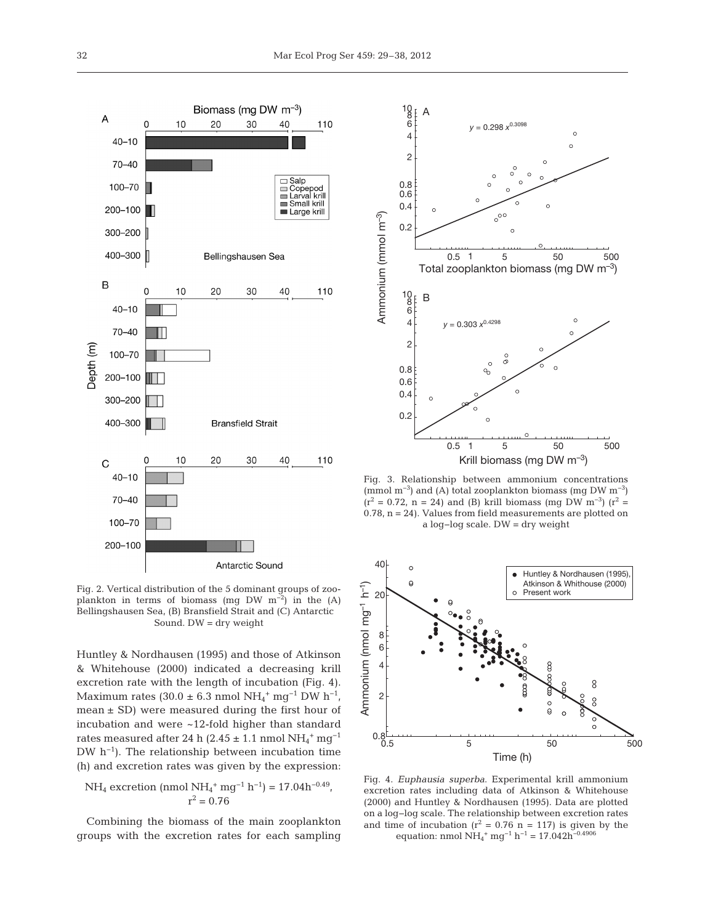

Fig. 2. Vertical distribution of the 5 dominant groups of zooplankton in terms of biomass (mg DW m<sup>-2</sup>) in the (A) Bellingshausen Sea, (B) Bransfield Strait and (C) Antarctic Sound. DW = dry weight

Huntley & Nordhausen (1995) and those of Atkinson & Whitehouse (2000) indicated a decreasing krill excretion rate with the length of incubation (Fig. 4). Maximum rates (30.0 ± 6.3 nmol NH<sub>4</sub><sup>+</sup> mg<sup>-1</sup> DW h<sup>-1</sup>, mean  $\pm$  SD) were measured during the first hour of incubation and were ~12-fold higher than standard rates measured after 24 h (2.45 ± 1.1 nmol  $\mathrm{NH}_4^+ \mathrm{\,mg^{-1}}$ DW h−1). The relationship between incubation time (h) and excretion rates was given by the expression:

NH<sub>4</sub> excretion (nmol NH<sub>4</sub><sup>+</sup> mg<sup>-1</sup> h<sup>-1</sup>) = 17.04h<sup>-0.49</sup>,  

$$
r^2 = 0.76
$$

Combining the biomass of the main zooplankton groups with the excretion rates for each sampling



Fig. 3. Relationship between ammonium concentrations (mmol m<sup>-3</sup>) and (A) total zooplankton biomass (mg DW m<sup>-3</sup>)  $(r^2 = 0.72, n = 24)$  and (B) krill biomass (mg DW m<sup>-3</sup>) (r<sup>2</sup> = 0.78, n = 24). Values from field measurements are plotted on a log−log scale. DW = dry weight



Fig. 4. *Euphausia superba*. Experimental krill ammonium excretion rates including data of Atkinson & Whitehouse (2000) and Huntley & Nordhausen (1995). Data are plotted on a log−log scale. The relationship between excretion rates and time of incubation  $(r^2 = 0.76 \text{ n} = 117)$  is given by the equation: nmol  $NH_4^+$  mg<sup>-1</sup> h<sup>-1</sup> = 17.042h<sup>-0.4906</sup>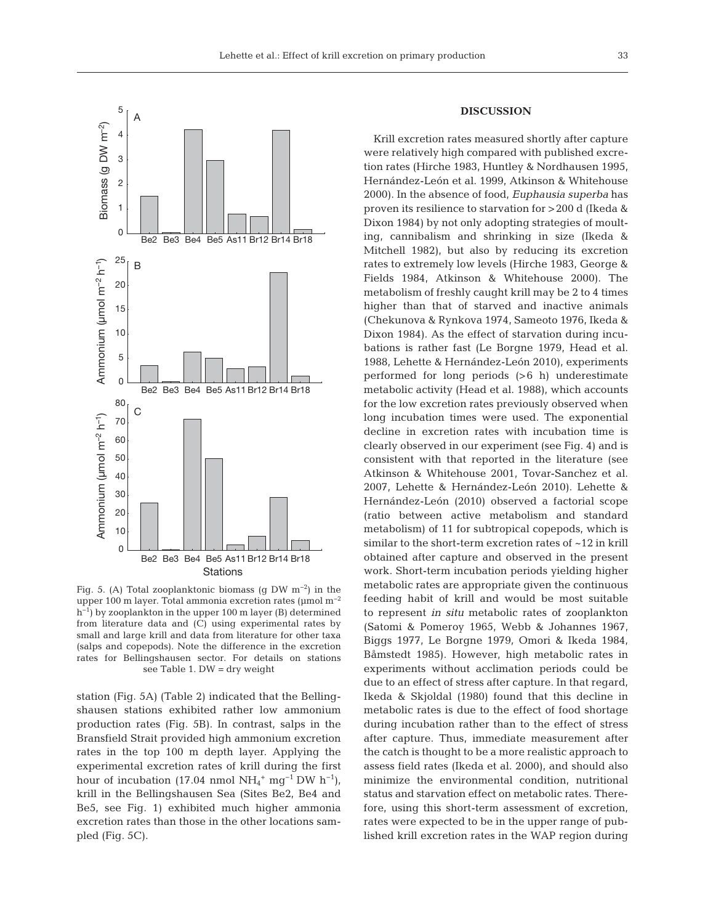



Fig. 5. (A) Total zooplanktonic biomass (g DW m<sup>−2</sup>) in the upper 100 m layer. Total ammonia excretion rates ( $\mu$ mol m<sup>-2</sup> h<sup>-1</sup>) by zooplankton in the upper 100 m layer (B) determined from literature data and (C) using experimental rates by small and large krill and data from literature for other taxa (salps and copepods). Note the difference in the excretion rates for Bellingshausen sector. For details on stations see Table 1. DW = dry weight

station (Fig. 5A) (Table 2) indicated that the Bellingshausen stations exhibited rather low ammonium production rates (Fig. 5B). In contrast, salps in the Bransfield Strait provided high ammonium excretion rates in the top 100 m depth layer. Applying the experimental excretion rates of krill during the first hour of incubation (17.04 nmol  $NH_4^+$  mg<sup>-1</sup> DW h<sup>-1</sup>), krill in the Bellingshausen Sea (Sites Be2, Be4 and Be5, see Fig. 1) exhibited much higher ammonia excretion rates than those in the other locations sampled (Fig. 5C).

# **DISCUSSION**

Krill excretion rates measured shortly after capture were relatively high compared with published excretion rates (Hirche 1983, Huntley & Nordhausen 1995, Hernández-León et al. 1999, Atkinson & Whitehouse 2000). In the absence of food, *Euphausia superba* has proven its resilience to starvation for >200 d (Ikeda & Dixon 1984) by not only adopting strategies of moulting, cannibalism and shrinking in size (Ikeda & Mitchell 1982), but also by reducing its excretion rates to extremely low levels (Hirche 1983, George & Fields 1984, Atkinson & Whitehouse 2000). The metabolism of freshly caught krill may be 2 to 4 times higher than that of starved and inactive animals (Chekunova & Rynkova 1974, Sameoto 1976, Ikeda & Dixon 1984). As the effect of starvation during incubations is rather fast (Le Borgne 1979, Head et al. 1988, Lehette & Hernández-León 2010), experiments performed for long periods (>6 h) underestimate metabolic activity (Head et al. 1988), which accounts for the low excretion rates previously observed when long incubation times were used. The exponential decline in excretion rates with incubation time is clearly observed in our experiment (see Fig. 4) and is consistent with that reported in the literature (see Atkinson & Whitehouse 2001, Tovar-Sanchez et al. 2007, Lehette & Hernández-León 2010). Lehette & Hernández-León (2010) observed a factorial scope (ratio between active metabolism and standard metabolism) of 11 for subtropical copepods, which is similar to the short-term excretion rates of ~12 in krill obtained after capture and observed in the present work. Short-term incubation periods yielding higher metabolic rates are appropriate given the continuous feeding habit of krill and would be most suitable to represent *in situ* metabolic rates of zooplankton (Satomi & Pomeroy 1965, Webb & Johannes 1967, Biggs 1977, Le Borgne 1979, Omori & Ikeda 1984, Båmstedt 1985). However, high metabolic rates in experiments without acclimation periods could be due to an effect of stress after capture. In that regard, Ikeda & Skjoldal (1980) found that this decline in metabolic rates is due to the effect of food shortage during incubation rather than to the effect of stress after capture. Thus, immediate measurement after the catch is thought to be a more realistic approach to assess field rates (Ikeda et al. 2000), and should also minimize the environmental condition, nutritional status and starvation effect on metabolic rates. There fore, using this short-term assessment of excretion, rates were expected to be in the upper range of published krill excretion rates in the WAP region during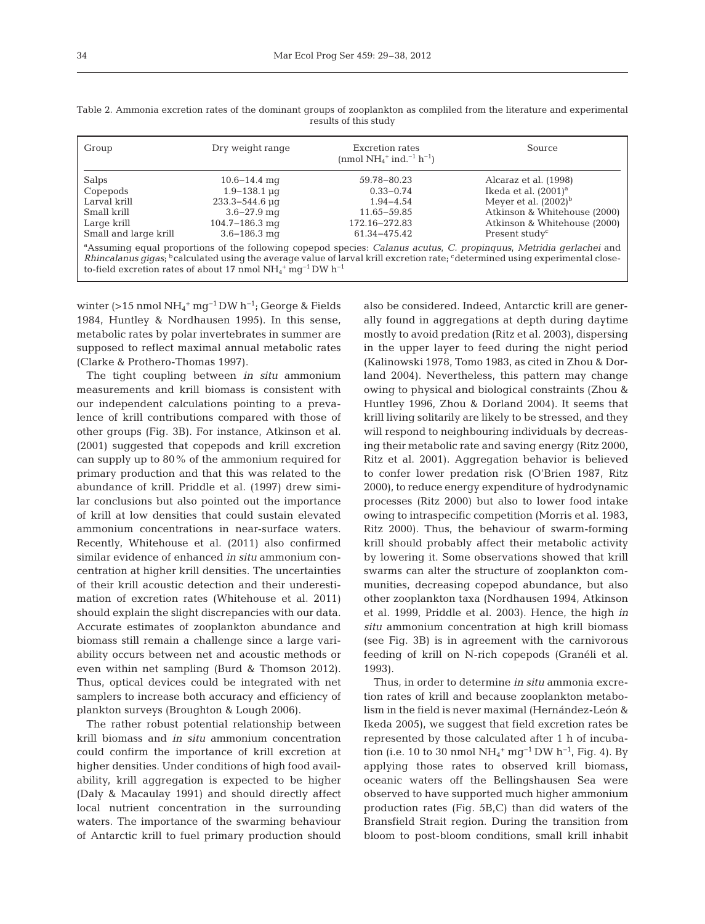| Group                                                                                                                                                                                                                                                                                                                                                                             | Dry weight range           | Excretion rates<br>(nmol $NH_4^+$ ind. <sup>-1</sup> h <sup>-1</sup> ) | Source                       |  |  |  |  |  |
|-----------------------------------------------------------------------------------------------------------------------------------------------------------------------------------------------------------------------------------------------------------------------------------------------------------------------------------------------------------------------------------|----------------------------|------------------------------------------------------------------------|------------------------------|--|--|--|--|--|
| Salps                                                                                                                                                                                                                                                                                                                                                                             | $10.6 - 14.4$ mg           | 59.78-80.23                                                            | Alcaraz et al. (1998)        |  |  |  |  |  |
| Copepods                                                                                                                                                                                                                                                                                                                                                                          | $1.9 - 138.1 \,\mu$ g      | $0.33 - 0.74$                                                          | Ikeda et al. $(2001)^a$      |  |  |  |  |  |
| Larval krill                                                                                                                                                                                                                                                                                                                                                                      | $233.3 - 544.6 \text{ µq}$ | $1.94 - 4.54$                                                          | Meyer et al. $(2002)^{b}$    |  |  |  |  |  |
| Small krill                                                                                                                                                                                                                                                                                                                                                                       | $3.6 - 27.9$ mg            | 11.65–59.85                                                            | Atkinson & Whitehouse (2000) |  |  |  |  |  |
| Large krill                                                                                                                                                                                                                                                                                                                                                                       | $104.7 - 186.3$ mg         | 172.16-272.83                                                          | Atkinson & Whitehouse (2000) |  |  |  |  |  |
| Small and large krill                                                                                                                                                                                                                                                                                                                                                             | $3.6 - 186.3$ mg           | 61.34-475.42                                                           | Present study <sup>c</sup>   |  |  |  |  |  |
| <sup>a</sup> Assuming equal proportions of the following copepod species: Calanus acutus, C. propinquus, Metridia gerlachei and<br>Rhincalanus gigas; <sup>b</sup> calculated using the average value of larval krill excretion rate; <sup>c</sup> determined using experimental close-<br>to-field excretion rates of about 17 nmol $NH_4^+$ mg <sup>-1</sup> DW h <sup>-1</sup> |                            |                                                                        |                              |  |  |  |  |  |

Table 2. Ammonia excretion rates of the dominant groups of zooplankton as compliled from the literature and experimental results of this study

winter (>15 nmol  $NH_4^+$  mg<sup>-1</sup>DW h<sup>-1</sup>; George & Fields 1984, Huntley & Nordhausen 1995). In this sense, metabolic rates by polar invertebrates in summer are supposed to reflect maximal annual metabolic rates (Clarke & Prothero-Thomas 1997).

The tight coupling between *in situ* ammonium measurements and krill biomass is consistent with our independent calculations pointing to a prevalence of krill contributions compared with those of other groups (Fig. 3B). For instance, Atkinson et al. (2001) suggested that copepods and krill excretion can supply up to 80% of the ammonium required for primary production and that this was related to the abundance of krill. Priddle et al. (1997) drew simi lar conclusions but also pointed out the importance of krill at low densities that could sustain elevated ammonium concentrations in near-surface waters. Recently, Whitehouse et al. (2011) also confirmed similar evidence of enhanced *in situ* ammonium concentration at higher krill densities. The uncertainties of their krill acoustic detection and their underestimation of excretion rates (Whitehouse et al. 2011) should explain the slight discrepancies with our data. Accurate estimates of zooplankton abundance and biomass still remain a challenge since a large variability occurs between net and acoustic methods or even within net sampling (Burd & Thomson 2012). Thus, optical devices could be integrated with net samplers to increase both accuracy and efficiency of plankton surveys (Broughton & Lough 2006).

The rather robust potential relationship between krill biomass and *in situ* ammonium concentration could confirm the importance of krill excretion at higher densities. Under conditions of high food availability, krill aggregation is expected to be higher (Daly & Macaulay 1991) and should directly affect local nutrient concentration in the surrounding waters. The importance of the swarming behaviour of Antarctic krill to fuel primary production should

also be considered. Indeed, Antarctic krill are generally found in aggregations at depth during daytime mostly to avoid predation (Ritz et al. 2003), dispersing in the upper layer to feed during the night period (Kalinowski 1978, Tomo 1983, as cited in Zhou & Dorland 2004). Nevertheless, this pattern may change owing to physical and biological constraints (Zhou & Huntley 1996, Zhou & Dorland 2004). It seems that krill living solitarily are likely to be stressed, and they will respond to neighbouring individuals by decreasing their metabolic rate and saving energy (Ritz 2000, Ritz et al. 2001). Aggregation behavior is believed to confer lower predation risk (O'Brien 1987, Ritz 2000), to reduce energy expenditure of hydrodynamic processes (Ritz 2000) but also to lower food intake owing to intraspecific competition (Morris et al. 1983, Ritz 2000). Thus, the behaviour of swarm-forming krill should probably affect their metabolic activity by lowering it. Some observations showed that krill swarms can alter the structure of zooplankton communities, decreasing copepod abundance, but also other zooplankton taxa (Nordhausen 1994, Atkinson et al. 1999, Priddle et al. 2003). Hence, the high *in situ* ammonium concentration at high krill biomass (see Fig. 3B) is in agreement with the carnivorous feeding of krill on N-rich copepods (Granéli et al. 1993).

Thus, in order to determine *in situ* ammonia excretion rates of krill and because zooplankton metabolism in the field is never maximal (Hernández-León & Ikeda 2005), we suggest that field excretion rates be represented by those calculated after 1 h of incubation (i.e. 10 to 30 nmol  $NH_4^+$  mg<sup>-1</sup> DW h<sup>-1</sup>, Fig. 4). By applying those rates to observed krill biomass, oceanic waters off the Bellingshausen Sea were observed to have supported much higher ammonium production rates (Fig. 5B,C) than did waters of the Bransfield Strait region. During the transition from bloom to post-bloom conditions, small krill inhabit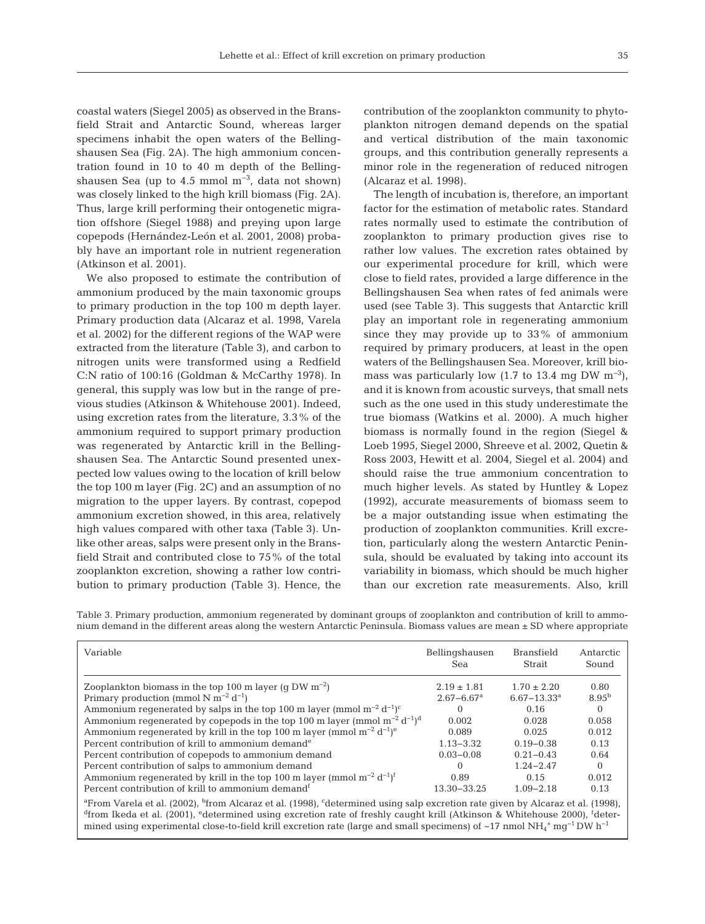coastal waters (Siegel 2005) as observed in the Bransfield Strait and Antarctic Sound, whereas larger specimens inhabit the open waters of the Bellingshausen Sea (Fig. 2A). The high ammonium concentration found in 10 to 40 m depth of the Bellingshausen Sea (up to 4.5 mmol  $m^{-3}$ , data not shown) was closely linked to the high krill biomass (Fig. 2A). Thus, large krill performing their ontogenetic migration offshore (Siegel 1988) and preying upon large copepods (Hernández-León et al. 2001, 2008) probably have an important role in nutrient regeneration (Atkinson et al. 2001).

We also proposed to estimate the contribution of ammonium produced by the main taxonomic groups to primary production in the top 100 m depth layer. Primary production data (Alcaraz et al. 1998, Varela et al. 2002) for the different regions of the WAP were extracted from the literature (Table 3), and carbon to nitrogen units were transformed using a Redfield C:N ratio of 100:16 (Goldman & McCarthy 1978). In general, this supply was low but in the range of previous studies (Atkinson & Whitehouse 2001). Indeed, using excretion rates from the literature, 3.3% of the ammonium required to support primary production was regenerated by Antarctic krill in the Bellingshausen Sea. The Antarctic Sound presented unexpected low values owing to the location of krill below the top 100 m layer (Fig. 2C) and an assumption of no migration to the upper layers. By contrast, copepod ammonium excretion showed, in this area, relatively high values compared with other taxa (Table 3). Unlike other areas, salps were present only in the Bransfield Strait and contributed close to 75% of the total zooplankton excretion, showing a rather low contribution to primary production (Table 3). Hence, the

contribution of the zooplankton community to phytoplankton nitrogen demand depends on the spatial and vertical distribution of the main taxonomic groups, and this contribution generally represents a minor role in the regeneration of reduced nitrogen (Alcaraz et al. 1998).

The length of incubation is, therefore, an important factor for the estimation of metabolic rates. Standard rates normally used to estimate the contribution of zooplankton to primary production gives rise to rather low values. The excretion rates obtained by our experimental procedure for krill, which were close to field rates, provided a large difference in the Bellingshausen Sea when rates of fed animals were used (see Table 3). This suggests that Antarctic krill play an important role in regenerating ammonium since they may provide up to 33% of ammonium required by primary producers, at least in the open waters of the Bellingshausen Sea. Moreover, krill biomass was particularly low (1.7 to 13.4 mg DW  $\mathrm{m}^{-3}$ ), and it is known from acoustic surveys, that small nets such as the one used in this study underestimate the true biomass (Watkins et al. 2000). A much higher biomass is normally found in the region (Siegel & Loeb 1995, Siegel 2000, Shreeve et al. 2002, Quetin & Ross 2003, Hewitt et al. 2004, Siegel et al. 2004) and should raise the true ammonium concentration to much higher levels. As stated by Huntley & Lopez (1992), accurate measurements of biomass seem to be a major outstanding issue when estimating the production of zooplankton communities. Krill excretion, particularly along the western Antarctic Peninsula, should be evaluated by taking into account its variability in biomass, which should be much higher than our excretion rate measurements. Also, krill

Table 3. Primary production, ammonium regenerated by dominant groups of zooplankton and contribution of krill to ammonium demand in the different areas along the western Antarctic Peninsula. Biomass values are mean ± SD where appropriate

| Variable                                                                                                                                                                                                                                                                                                                                                                                                                                                                                          | Bellingshausen             | <b>Bransfield</b> | Antarctic  |  |  |  |  |
|---------------------------------------------------------------------------------------------------------------------------------------------------------------------------------------------------------------------------------------------------------------------------------------------------------------------------------------------------------------------------------------------------------------------------------------------------------------------------------------------------|----------------------------|-------------------|------------|--|--|--|--|
|                                                                                                                                                                                                                                                                                                                                                                                                                                                                                                   | Sea                        | <b>Strait</b>     | Sound      |  |  |  |  |
| Zooplankton biomass in the top 100 m layer (q DW $m^{-2}$ )                                                                                                                                                                                                                                                                                                                                                                                                                                       | $2.19 \pm 1.81$            | $1.70 \pm 2.20$   | 0.80       |  |  |  |  |
| Primary production (mmol N m <sup>-2</sup> d <sup>-1</sup> )                                                                                                                                                                                                                                                                                                                                                                                                                                      | $2.67 - 6.67$ <sup>a</sup> | $6.67 - 13.33a$   | $8.95^{b}$ |  |  |  |  |
| Ammonium regenerated by salps in the top 100 m layer (mmol $m^{-2} d^{-1}$ ) <sup>c</sup>                                                                                                                                                                                                                                                                                                                                                                                                         | 0                          | 0.16              | $\Omega$   |  |  |  |  |
| Ammonium regenerated by copepods in the top 100 m layer (mmol $m^{-2} d^{-1}$ ) <sup>d</sup>                                                                                                                                                                                                                                                                                                                                                                                                      | 0.002                      | 0.028             | 0.058      |  |  |  |  |
| Ammonium regenerated by krill in the top 100 m layer (mmol $m^{-2} d^{-1}$ ) <sup>e</sup>                                                                                                                                                                                                                                                                                                                                                                                                         | 0.089                      | 0.025             | 0.012      |  |  |  |  |
| Percent contribution of krill to ammonium demand <sup>e</sup>                                                                                                                                                                                                                                                                                                                                                                                                                                     | $1.13 - 3.32$              | $0.19 - 0.38$     | 0.13       |  |  |  |  |
| Percent contribution of copepods to ammonium demand                                                                                                                                                                                                                                                                                                                                                                                                                                               | $0.03 - 0.08$              | $0.21 - 0.43$     | 0.64       |  |  |  |  |
| Percent contribution of salps to ammonium demand                                                                                                                                                                                                                                                                                                                                                                                                                                                  | 0                          | $1.24 - 2.47$     | $\Omega$   |  |  |  |  |
| Ammonium regenerated by krill in the top 100 m layer (mmol $m^{-2} d^{-1}$ ) <sup>f</sup>                                                                                                                                                                                                                                                                                                                                                                                                         | 0.89                       | 0.15              | 0.012      |  |  |  |  |
| Percent contribution of krill to ammonium demand <sup>f</sup>                                                                                                                                                                                                                                                                                                                                                                                                                                     | 13.30-33.25                | $1.09 - 2.18$     | 0.13       |  |  |  |  |
| <sup>a</sup> From Varela et al. (2002), <sup>b</sup> from Alcaraz et al. (1998), <sup>c</sup> determined using salp excretion rate given by Alcaraz et al. (1998),<br><sup>d</sup> from Ikeda et al. (2001), <sup>e</sup> determined using excretion rate of freshly caught krill (Atkinson & Whitehouse 2000), <sup>f</sup> deter-<br>mined using experimental close-to-field krill excretion rate (large and small specimens) of ~17 nmol NH <sub>4</sub> + mq <sup>-1</sup> DW h <sup>-1</sup> |                            |                   |            |  |  |  |  |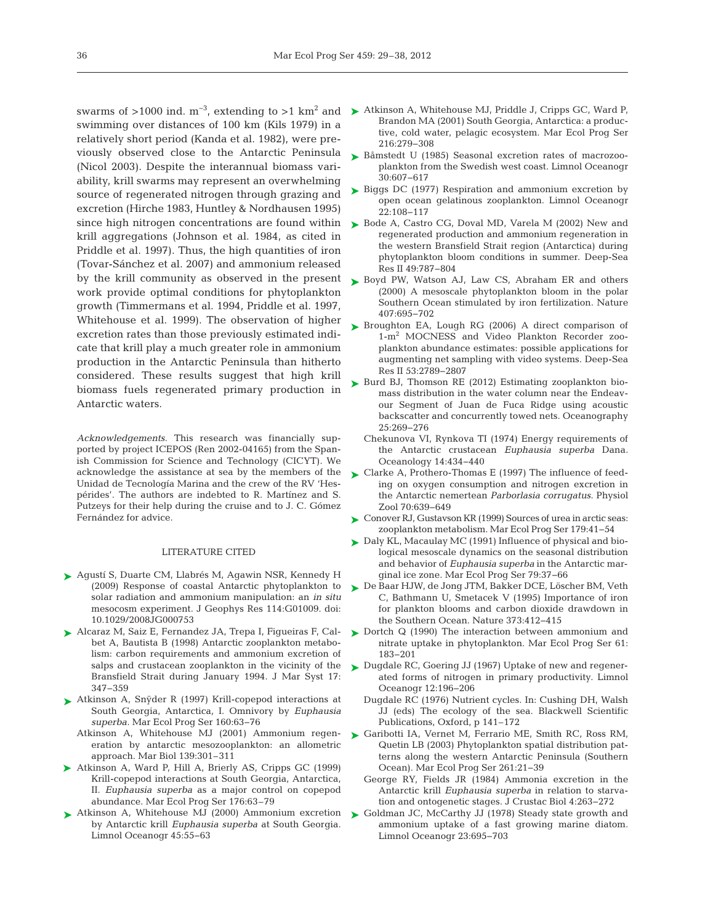swimming over distances of 100 km (Kils 1979) in a relatively short period (Kanda et al. 1982), were previously observed close to the Antarctic Peninsula (Nicol 2003). Despite the interannual biomass variability, krill swarms may represent an overwhelming source of regenerated nitrogen through grazing and excretion (Hirche 1983, Huntley & Nordhausen 1995) since high nitrogen concentrations are found within  $\triangleright$  Bode A, Castro CG, Doval MD, Varela M (2002) New and krill aggregations (Johnson et al. 1984, as cited in Priddle et al. 1997). Thus, the high quantities of iron (Tovar-Sánchez et al. 2007) and ammonium released by the krill community as observed in the present Boyd PW, Watson AJ, Law CS, Abraham ER and others work provide optimal conditions for phytoplankton growth (Timmermans et al. 1994, Priddle et al. 1997, Whitehouse et al. 1999). The observation of higher excretion rates than those previously estimated indicate that krill play a much greater role in ammonium production in the Antarctic Peninsula than hitherto considered. These results suggest that high krill biomass fuels regenerated primary production in Antarctic waters.

*Acknowledgements*. This research was financially supported by project ICEPOS (Ren 2002-04165) from the Spanish Commission for Science and Technology (CICYT). We acknowledge the assistance at sea by the members of the Unidad de Tecnología Marina and the crew of the RV 'Hespérides'. The authors are indebted to R. Martínez and S. Putzeys for their help during the cruise and to J. C. Gómez Fernández for advice.

#### LITERATURE CITED

- ► Agustí S, Duarte CM, Llabrés M, Agawin NSR, Kennedy H (2009) Response of coastal Antarctic phytoplankton to solar radiation and ammonium manipulation: an *in situ* mesocosm experiment. J Geophys Res 114: G01009. doi: 10.1029/2008JG000753
- Alcaraz M, Saiz E, Fernandez JA, Trepa I, Figueiras F, Cal-➤ bet A, Bautista B (1998) Antarctic zooplankton metabolism: carbon requirements and ammonium excretion of salps and crustacean zooplankton in the vicinity of the Bransfield Strait during January 1994. J Mar Syst 17: 347−359
- Atkinson A, Snÿder R (1997) Krill-copepod interactions at ➤ South Georgia, Antarctica, I. Omnivory by *Euphausia* superba. Mar Ecol Prog Ser 160:63-76
	- Atkinson A, Whitehouse MJ (2001) Ammonium regeneration by antarctic mesozooplankton: an allometric approach. Mar Biol 139:301–311
- ▶ Atkinson A, Ward P, Hill A, Brierly AS, Cripps GC (1999) Krill-copepod interactions at South Georgia, Antarctica, II. *Euphausia superba* as a major control on copepod abundance. Mar Ecol Prog Ser 176:63–79
- ▶ Atkinson A, Whitehouse MJ (2000) Ammonium excretion by Antarctic krill *Euphausia superba* at South Georgia. Limnol Oceanogr 45:55-63
- swarms of >1000 ind. m<sup>-3</sup>, extending to >1 km<sup>2</sup> and → Atkinson A, Whitehouse MJ, Priddle J, Cripps GC, Ward P, Brandon MA (2001) South Georgia, Antarctica: a productive, cold water, pelagic ecosystem. Mar Ecol Prog Ser 216: 279−308
	- ► Båmstedt U (1985) Seasonal excretion rates of macrozooplankton from the Swedish west coast. Limnol Oceanogr 30: 607−617
	- ► Biggs DC (1977) Respiration and ammonium excretion by open ocean gelatinous zooplankton. Limnol Oceanogr 22: 108−117
	- regenerated production and ammonium regeneration in the western Bransfield Strait region (Antarctica) during phytoplankton bloom conditions in summer. Deep-Sea Res II 49:787-804
	- (2000) A mesoscale phytoplankton bloom in the polar Southern Ocean stimulated by iron fertilization. Nature 407: 695−702
	- ▶ Broughton EA, Lough RG (2006) A direct comparison of 1-m2 MOCNESS and Video Plankton Recorder zooplankton abundance estimates:possible applications for augmenting net sampling with video systems. Deep-Sea Res II 53:2789-2807
	- ► Burd BJ, Thomson RE (2012) Estimating zooplankton biomass distribution in the water column near the Endeavour Segment of Juan de Fuca Ridge using acoustic backscatter and concurrently towed nets. Oceanography 25: 269−276
		- Chekunova VI, Rynkova TI (1974) Energy requirements of the Antarctic crustacean *Euphausia superba* Dana*.* Oceanology 14:434-440
	- Clarke A, Prothero-Thomas E (1997) The influence of feed-➤ ing on oxygen consumption and nitrogen excretion in the Antarctic nemertean *Parborlasia corrugatus.* Physiol Zool 70: 639−649
	- ► Conover RJ, Gustavson KR (1999) Sources of urea in arctic seas: zooplankton metabolism. Mar Ecol Prog Ser 179:41-54
	- ► Daly KL, Macaulay MC (1991) Influence of physical and biological mesoscale dynamics on the seasonal distribution and behavior of *Euphausia superba* in the Antarctic marginal ice zone. Mar Ecol Prog Ser 79:37-66
	- De Baar HJW, de Jong JTM, Bakker DCE, Löscher BM, Veth ➤ C, Bathmann U, Smetacek V (1995) Importance of iron for plankton blooms and carbon dioxide drawdown in the Southern Ocean. Nature 373:412-415
	- ▶ Dortch Q (1990) The interaction between ammonium and nitrate uptake in phytoplankton. Mar Ecol Prog Ser 61: 183−201
	- ► Dugdale RC, Goering JJ (1967) Uptake of new and regenerated forms of nitrogen in primary productivity. Limnol Oceanogr 12: 196−206
		- Dugdale RC (1976) Nutrient cycles. In: Cushing DH, Walsh JJ (eds) The ecology of the sea. Blackwell Scientific Publications, Oxford, p 141–172
	- Garibotti IA, Vernet M, Ferrario ME, Smith RC, Ross RM, ➤ Quetin LB (2003) Phytoplankton spatial distribution patterns along the western Antarctic Peninsula (Southern Ocean). Mar Ecol Prog Ser 261:21-39
		- George RY, Fields JR (1984) Ammonia excretion in the Antarctic krill *Euphausia superba* in relation to starvation and ontogenetic stages. J Crustac Biol 4:263-272
	- ► Goldman JC, McCarthy JJ (1978) Steady state growth and ammonium uptake of a fast growing marine diatom. Limnol Oceanogr 23: 695−703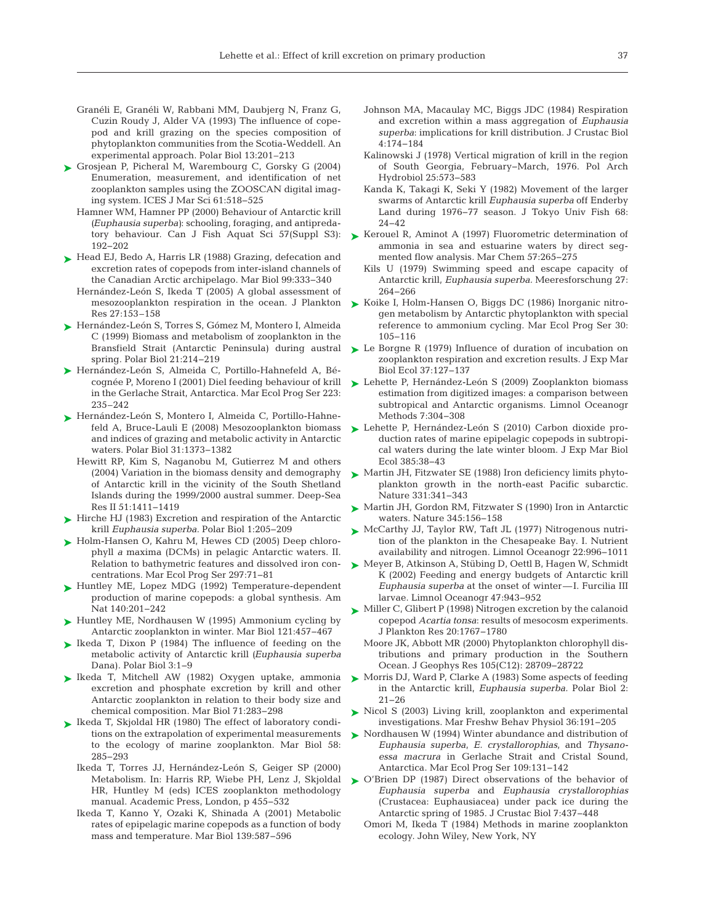- Granéli E, Granéli W, Rabbani MM, Daubjerg N, Franz G, Cuzin Roudy J, Alder VA (1993) The influence of copepod and krill grazing on the species composition of phytoplankton communities from the Scotia-Weddell. An experimental approach. Polar Biol 13:201–213
- ► Grosjean P, Picheral M, Warembourg C, Gorsky G (2004) Enumeration, measurement, and identification of net zooplankton samples using the ZOOSCAN digital imaging system. ICES J Mar Sci 61:518-525
	- Hamner WM, Hamner PP (2000) Behaviour of Antarctic krill *(Euphausia superba)*: schooling, foraging, and antipredatory behaviour. Can J Fish Aquat Sci 57(Suppl S3): 192−202
- Head EJ, Bedo A, Harris LR (1988) Grazing, defecation and ➤ excretion rates of copepods from inter-island channels of the Canadian Arctic archipelago. Mar Biol 99:333-340
	- Hernández-León S, Ikeda T (2005) A global assessment of mesozooplankton respiration in the ocean. J Plankton Res 27:153–158
- Hernández-León S, Torres S, Gómez M, Montero I, Almeida ➤ C (1999) Biomass and metabolism of zooplankton in the Bransfield Strait (Antarctic Peninsula) during austral spring. Polar Biol 21:214-219
- ▶ Hernández-León S, Almeida C, Portillo-Hahnefeld A, Bécognée P, Moreno I (2001) Diel feeding behaviour of krill in the Gerlache Strait, Antarctica. Mar Ecol Prog Ser 223: 235–242
- ► Hernández-León S, Montero I, Almeida C, Portillo-Hahnefeld A, Bruce-Lauli E (2008) Mesozooplankton biomass and indices of grazing and metabolic activity in Antarctic waters. Polar Biol 31: 1373−1382
	- Hewitt RP, Kim S, Naganobu M, Gutierrez M and others (2004) Variation in the biomass density and demography of Antarctic krill in the vicinity of the South Shetland Islands during the 1999/2000 austral summer. Deep-Sea Res II 51: 1411−1419
- ► Hirche HJ (1983) Excretion and respiration of the Antarctic krill *Euphausia superba.* Polar Biol 1: 205−209
- ► Holm-Hansen O, Kahru M, Hewes CD (2005) Deep chlorophyll *a* maxima (DCMs) in pelagic Antarctic waters. II. Relation to bathymetric features and dissolved iron concentrations. Mar Ecol Prog Ser 297:71-81
- ▶ Huntley ME, Lopez MDG (1992) Temperature-dependent production of marine copepods: a global synthesis. Am Nat 140:201-242
- ► Huntley ME, Nordhausen W (1995) Ammonium cycling by Antarctic zooplankton in winter. Mar Biol 121: 457−467
- ► Ikeda T, Dixon P (1984) The influence of feeding on the metabolic activity of Antarctic krill *(Euphausia superba* Dana). Polar Biol 3: 1−9
- Ikeda T, Mitchell AW (1982) Oxygen uptake, ammonia ➤ excretion and phosphate excretion by krill and other Antarctic zooplankton in relation to their body size and chemical composition. Mar Biol 71: 283−298
- ► Ikeda T, Skjoldal HR (1980) The effect of laboratory conditions on the extrapolation of experimental measurements to the ecology of marine zooplankton. Mar Biol 58: 285−293
	- Ikeda T, Torres JJ, Hernández-León S, Geiger SP (2000) Metabolism. In: Harris RP, Wiebe PH, Lenz J, Skjoldal HR, Huntley M (eds) ICES zooplankton methodology manual. Academic Press, London, p 455−532
	- Ikeda T, Kanno Y, Ozaki K, Shinada A (2001) Metabolic rates of epipelagic marine copepods as a function of body mass and temperature. Mar Biol 139:587-596
- Johnson MA, Macaulay MC, Biggs JDC (1984) Respiration and excretion within a mass aggregation of *Euphausia* superba: implications for krill distribution. J Crustac Biol 4: 174−184
- Kalinowski J (1978) Vertical migration of krill in the region of South Georgia, February−March, 1976. Pol Arch Hydrobiol 25:573-583
- Kanda K, Takagi K, Seki Y (1982) Movement of the larger swarms of Antarctic krill *Euphausia superba* off Enderby Land during 1976−77 season. J Tokyo Univ Fish 68: 24−42
- ► Kerouel R, Aminot A (1997) Fluorometric determination of ammonia in sea and estuarine waters by direct segmented flow analysis. Mar Chem 57:265-275
	- Kils U (1979) Swimming speed and escape capacity of Antarctic krill, *Euphausia superba.* Meeresforschung 27: 264−266
- ► Koike I, Holm-Hansen O, Biggs DC (1986) Inorganic nitrogen metabolism by Antarctic phytoplankton with special reference to ammonium cycling. Mar Ecol Prog Ser 30: 105−116
- ► Le Borgne R (1979) Influence of duration of incubation on zooplankton respiration and excretion results. J Exp Mar Biol Ecol 37: 127−137
- Lehette P, Hernández-León S (2009) Zooplankton biomass ➤ estimation from digitized images: a comparison between subtropical and Antarctic organisms. Limnol Oceanogr Methods 7:304-308
- Lehette P, Hernández-León S (2010) Carbon dioxide pro-➤ duction rates of marine epipelagic copepods in subtropical waters during the late winter bloom. J Exp Mar Biol Ecol 385: 38−43
- Martin JH, Fitzwater SE (1988) Iron deficiency limits phyto-➤ plankton growth in the north-east Pacific subarctic. Nature 331:341-343
- ► Martin JH, Gordon RM, Fitzwater S (1990) Iron in Antarctic waters. Nature 345: 156−158
- McCarthy JJ, Taylor RW, Taft JL (1977) Nitrogenous nutri-➤ tion of the plankton in the Chesapeake Bay. I. Nutrient availability and nitrogen. Limnol Oceanogr 22: 996−1011
- Meyer B, Atkinson A, Stübing D, Oettl B, Hagen W, Schmidt ➤ K (2002) Feeding and energy budgets of Antarctic krill *Euphausia superba* at the onset of winter—I. Furcilia III larvae. Limnol Oceanogr 47: 943−952
- ► Miller C, Glibert P (1998) Nitrogen excretion by the calanoid copepod *Acartia tonsa*: results of mesocosm experiments. J Plankton Res 20: 1767−1780
	- Moore JK, Abbott MR (2000) Phytoplankton chlorophyll distributions and primary production in the Southern Ocean. J Geophys Res 105(C12):28709−28722
- ► Morris DJ, Ward P, Clarke A (1983) Some aspects of feeding in the Antarctic krill, *Euphausia superba.* Polar Biol 2: 21−26
- ► Nicol S (2003) Living krill, zooplankton and experimental investigations. Mar Freshw Behav Physiol 36: 191−205
- ▶ Nordhausen W (1994) Winter abundance and distribution of *Euphausia superba*, *E. crystallorophias*, and *Thysano essa macrura* in Gerlache Strait and Cristal Sound, Antarctica. Mar Ecol Prog Ser 109: 131−142
- ▶ O'Brien DP (1987) Direct observations of the behavior of *Euphausia superba* and *Euphausia crystallorophias* (Crustacea: Euphausiacea) under pack ice during the Antarctic spring of 1985. J Crustac Biol 7: 437−448
	- Omori M, Ikeda T (1984) Methods in marine zooplankton ecology. John Wiley, New York, NY